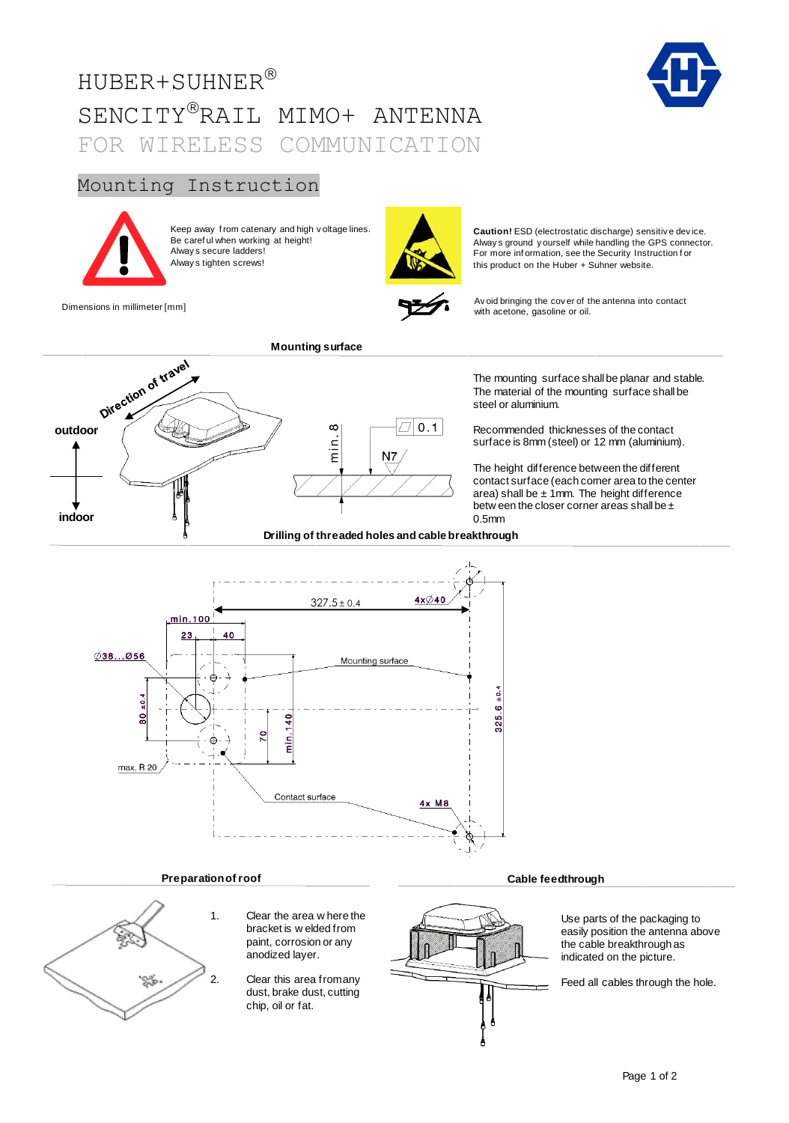# HUBER+SUHNER SENCITY®RAIL MIMO+ ANTENNA FOR WIRELESS COMMUNICATION

# Mounting Instruction



Keep away f rom catenary and high v oltage lines. Be caref ul when working at height! Alway s secure ladders! Alway s tighten screws!



Dimensions in millimeter [mm] Avoid bringing the cover of the antenna into contact<br>and the contact with acctons appeling or oil

**Caution!** ESD (electrostatic discharge) sensitiv e dev ice. Alway s ground y ourself while handling the GPS connector. For more inf ormation, see the Security Instruction f or this product on the Huber + Suhner website.



with acetone, gasoline or oil.

The mounting surface shall be planar and stable. The material of the mounting surface shall be steel or aluminium.

Recommended thicknesses of the contact surface is 8mm (steel) or 12 mm (aluminium).

The height difference between the different contact surface (each corner area to the center area) shall be  $\pm$  1mm. The height difference betw een the closer corner areas shall be ± 0.5mm

 $4x\cancel{\Diamond}40$  $327.5 \pm 0.4$ min.100 23 40  $\emptyset$ 38...Ø56 Mounting surface  $.6 \pm 0.4$  $\frac{4}{10}$  $\frac{1}{2}$  $\frac{1}{4}$ 325. É ه Ē max. R 20 Contact surface  $4x$  Ma

# **Preparation of roof Cable feedthrough**



1. Clear the area w here the bracket is w elded from paint, corrosion or any anodized layer.

2. Clear this area from any dust, brake dust, cutting chip, oil or fat.



Use parts of the packaging to easily position the antenna above

the cable breakthrough as indicated on the picture.

Feed all cables through the hole.